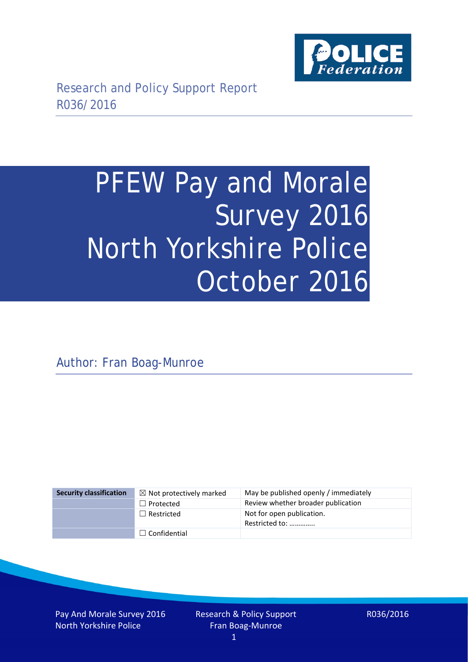

# PFEW Pay and Morale Survey 2016 North Yorkshire Police October 2016

Author: Fran Boag-Munroe

| <b>Security classification</b> | $\boxtimes$ Not protectively marked | May be published openly / immediately       |
|--------------------------------|-------------------------------------|---------------------------------------------|
|                                | $\Box$ Protected                    | Review whether broader publication          |
|                                | $\Box$ Restricted                   | Not for open publication.<br>Restricted to: |
|                                | $\Box$ Confidential                 |                                             |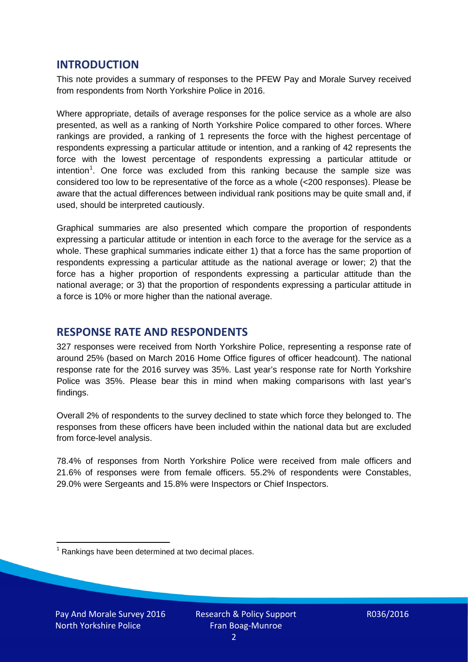## **INTRODUCTION**

This note provides a summary of responses to the PFEW Pay and Morale Survey received from respondents from North Yorkshire Police in 2016.

Where appropriate, details of average responses for the police service as a whole are also presented, as well as a ranking of North Yorkshire Police compared to other forces. Where rankings are provided, a ranking of 1 represents the force with the highest percentage of respondents expressing a particular attitude or intention, and a ranking of 42 represents the force with the lowest percentage of respondents expressing a particular attitude or intention<sup>[1](#page-1-0)</sup>. One force was excluded from this ranking because the sample size was considered too low to be representative of the force as a whole (<200 responses). Please be aware that the actual differences between individual rank positions may be quite small and, if used, should be interpreted cautiously.

Graphical summaries are also presented which compare the proportion of respondents expressing a particular attitude or intention in each force to the average for the service as a whole. These graphical summaries indicate either 1) that a force has the same proportion of respondents expressing a particular attitude as the national average or lower; 2) that the force has a higher proportion of respondents expressing a particular attitude than the national average; or 3) that the proportion of respondents expressing a particular attitude in a force is 10% or more higher than the national average.

# **RESPONSE RATE AND RESPONDENTS**

327 responses were received from North Yorkshire Police, representing a response rate of around 25% (based on March 2016 Home Office figures of officer headcount). The national response rate for the 2016 survey was 35%. Last year's response rate for North Yorkshire Police was 35%. Please bear this in mind when making comparisons with last year's findings.

Overall 2% of respondents to the survey declined to state which force they belonged to. The responses from these officers have been included within the national data but are excluded from force-level analysis.

78.4% of responses from North Yorkshire Police were received from male officers and 21.6% of responses were from female officers. 55.2% of respondents were Constables, 29.0% were Sergeants and 15.8% were Inspectors or Chief Inspectors.

<span id="page-1-0"></span> $1$  Rankings have been determined at two decimal places.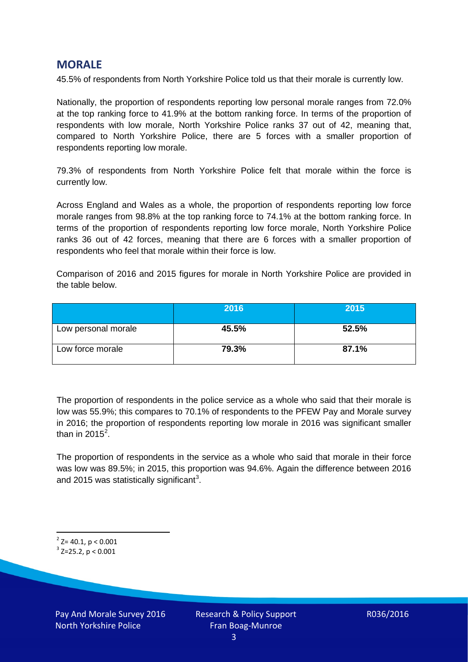## **MORALE**

45.5% of respondents from North Yorkshire Police told us that their morale is currently low.

Nationally, the proportion of respondents reporting low personal morale ranges from 72.0% at the top ranking force to 41.9% at the bottom ranking force. In terms of the proportion of respondents with low morale, North Yorkshire Police ranks 37 out of 42, meaning that, compared to North Yorkshire Police, there are 5 forces with a smaller proportion of respondents reporting low morale.

79.3% of respondents from North Yorkshire Police felt that morale within the force is currently low.

Across England and Wales as a whole, the proportion of respondents reporting low force morale ranges from 98.8% at the top ranking force to 74.1% at the bottom ranking force. In terms of the proportion of respondents reporting low force morale, North Yorkshire Police ranks 36 out of 42 forces, meaning that there are 6 forces with a smaller proportion of respondents who feel that morale within their force is low.

Comparison of 2016 and 2015 figures for morale in North Yorkshire Police are provided in the table below.

|                     | 2016  | 2015  |
|---------------------|-------|-------|
| Low personal morale | 45.5% | 52.5% |
| Low force morale    | 79.3% | 87.1% |

The proportion of respondents in the police service as a whole who said that their morale is low was 55.9%; this compares to 70.1% of respondents to the PFEW Pay and Morale survey in 2016; the proportion of respondents reporting low morale in 2016 was significant smaller than in [2](#page-2-0)015 $^2$ .

The proportion of respondents in the service as a whole who said that morale in their force was low was 89.5%; in 2015, this proportion was 94.6%. Again the difference between 2016 and 2015 was statistically significant<sup>[3](#page-2-1)</sup>.

<span id="page-2-0"></span> $2$ <sup>2</sup> Z= 40.1, p < 0.001

<span id="page-2-1"></span> $3$  Z=25.2, p < 0.001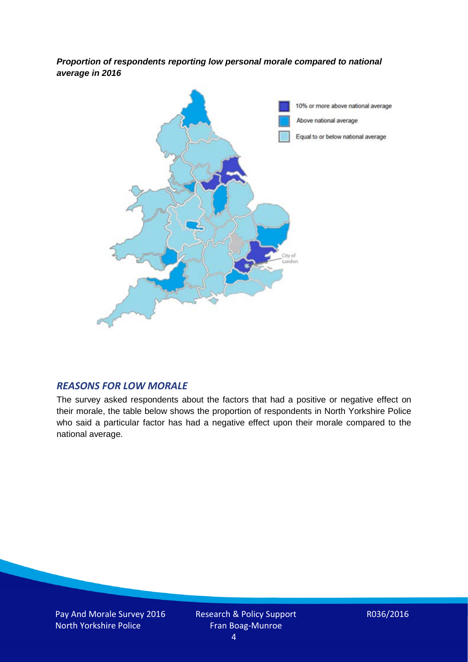*Proportion of respondents reporting low personal morale compared to national average in 2016*



#### *REASONS FOR LOW MORALE*

The survey asked respondents about the factors that had a positive or negative effect on their morale, the table below shows the proportion of respondents in North Yorkshire Police who said a particular factor has had a negative effect upon their morale compared to the national average.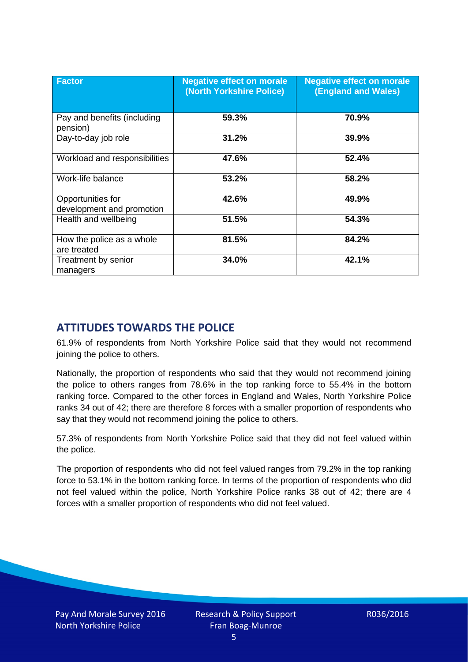| <b>Factor</b>                                  | <b>Negative effect on morale</b><br>(North Yorkshire Police) | <b>Negative effect on morale</b><br><b>(England and Wales)</b> |
|------------------------------------------------|--------------------------------------------------------------|----------------------------------------------------------------|
| Pay and benefits (including<br>pension)        | 59.3%                                                        | 70.9%                                                          |
| Day-to-day job role                            | 31.2%                                                        | 39.9%                                                          |
| Workload and responsibilities                  | 47.6%                                                        | 52.4%                                                          |
| Work-life balance                              | 53.2%                                                        | 58.2%                                                          |
| Opportunities for<br>development and promotion | 42.6%                                                        | 49.9%                                                          |
| Health and wellbeing                           | 51.5%                                                        | 54.3%                                                          |
| How the police as a whole<br>are treated       | 81.5%                                                        | 84.2%                                                          |
| Treatment by senior<br>managers                | 34.0%                                                        | 42.1%                                                          |

# **ATTITUDES TOWARDS THE POLICE**

61.9% of respondents from North Yorkshire Police said that they would not recommend joining the police to others.

Nationally, the proportion of respondents who said that they would not recommend joining the police to others ranges from 78.6% in the top ranking force to 55.4% in the bottom ranking force. Compared to the other forces in England and Wales, North Yorkshire Police ranks 34 out of 42; there are therefore 8 forces with a smaller proportion of respondents who say that they would not recommend joining the police to others.

57.3% of respondents from North Yorkshire Police said that they did not feel valued within the police.

The proportion of respondents who did not feel valued ranges from 79.2% in the top ranking force to 53.1% in the bottom ranking force. In terms of the proportion of respondents who did not feel valued within the police, North Yorkshire Police ranks 38 out of 42; there are 4 forces with a smaller proportion of respondents who did not feel valued.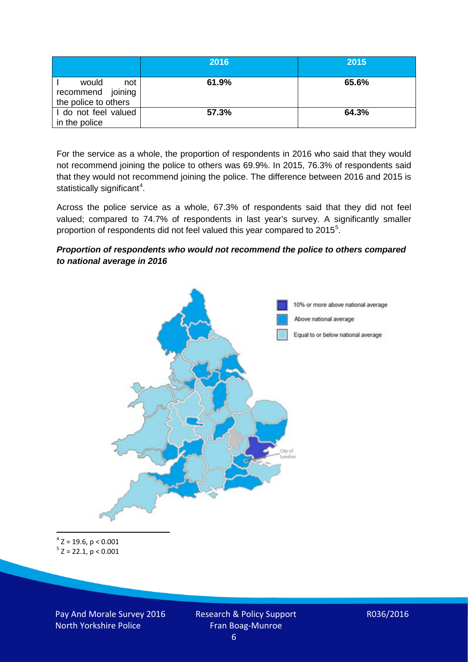|                                                           | 2016  | 2015  |
|-----------------------------------------------------------|-------|-------|
| would<br>not<br>recommend joining<br>the police to others | 61.9% | 65.6% |
| I do not feel valued<br>in the police                     | 57.3% | 64.3% |

For the service as a whole, the proportion of respondents in 2016 who said that they would not recommend joining the police to others was 69.9%. In 2015, 76.3% of respondents said that they would not recommend joining the police. The difference between 2016 and 2015 is statistically significant<sup>[4](#page-5-0)</sup>.

Across the police service as a whole, 67.3% of respondents said that they did not feel valued; compared to 74.7% of respondents in last year's survey. A significantly smaller proportion of respondents did not feel valued this year compared to 201[5](#page-5-1)<sup>5</sup>.

#### *Proportion of respondents who would not recommend the police to others compared to national average in 2016*



<span id="page-5-1"></span><span id="page-5-0"></span> $4$  Z = 19.6, p < 0.001  $5$  Z = 22.1, p < 0.001

Pay And Morale Survey 2016 North Yorkshire Police

Research & Policy Support Fran Boag-Munroe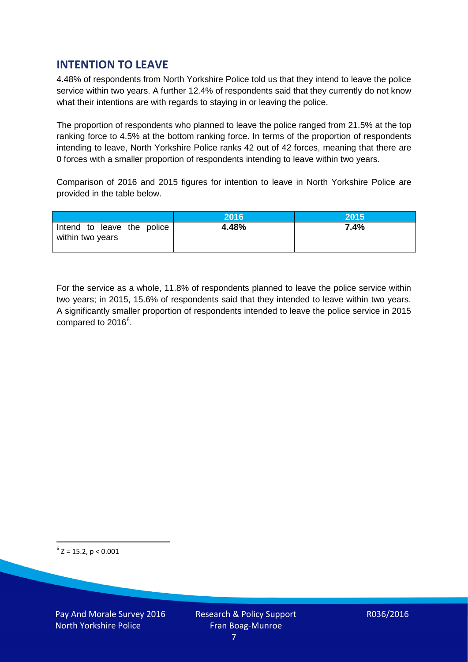# **INTENTION TO LEAVE**

4.48% of respondents from North Yorkshire Police told us that they intend to leave the police service within two years. A further 12.4% of respondents said that they currently do not know what their intentions are with regards to staying in or leaving the police.

The proportion of respondents who planned to leave the police ranged from 21.5% at the top ranking force to 4.5% at the bottom ranking force. In terms of the proportion of respondents intending to leave, North Yorkshire Police ranks 42 out of 42 forces, meaning that there are 0 forces with a smaller proportion of respondents intending to leave within two years.

Comparison of 2016 and 2015 figures for intention to leave in North Yorkshire Police are provided in the table below.

|                                                | 2016  | 2015 |
|------------------------------------------------|-------|------|
| Intend to leave the police<br>within two years | 4.48% | 7.4% |

For the service as a whole, 11.8% of respondents planned to leave the police service within two years; in 2015, 15.6% of respondents said that they intended to leave within two years. A significantly smaller proportion of respondents intended to leave the police service in 2015 compared to 201[6](#page-6-0)<sup>6</sup>.

<span id="page-6-0"></span> $6$  Z = 15.2, p < 0.001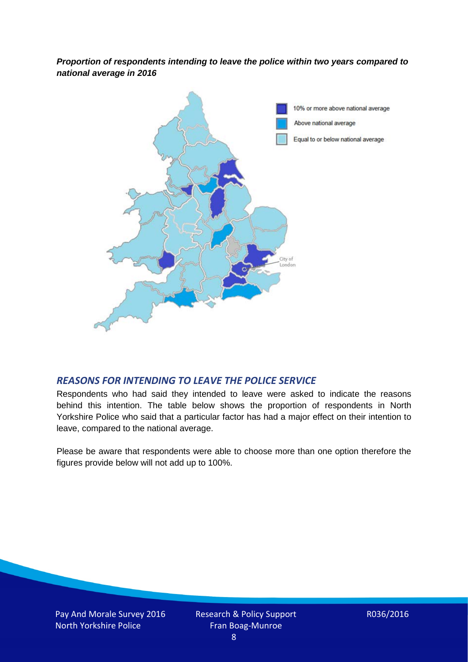*Proportion of respondents intending to leave the police within two years compared to national average in 2016*



#### *REASONS FOR INTENDING TO LEAVE THE POLICE SERVICE*

Respondents who had said they intended to leave were asked to indicate the reasons behind this intention. The table below shows the proportion of respondents in North Yorkshire Police who said that a particular factor has had a major effect on their intention to leave, compared to the national average.

Please be aware that respondents were able to choose more than one option therefore the figures provide below will not add up to 100%.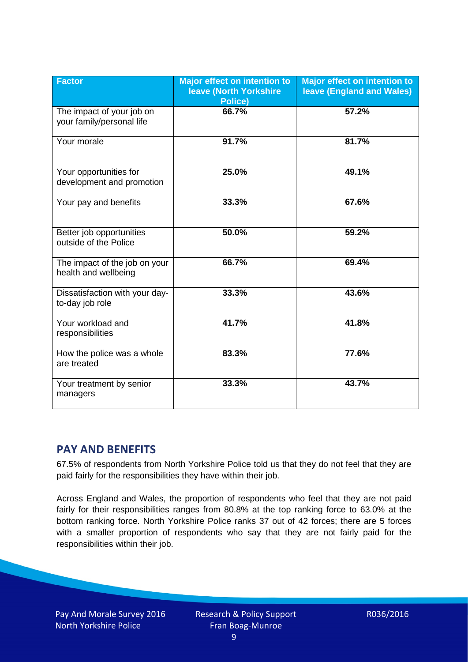| <b>Factor</b>                                          | <b>Major effect on intention to</b><br><b>leave (North Yorkshire</b><br>Police) | <b>Major effect on intention to</b><br><b>leave (England and Wales)</b> |
|--------------------------------------------------------|---------------------------------------------------------------------------------|-------------------------------------------------------------------------|
| The impact of your job on<br>your family/personal life | 66.7%                                                                           | 57.2%                                                                   |
| Your morale                                            | 91.7%                                                                           | 81.7%                                                                   |
| Your opportunities for<br>development and promotion    | 25.0%                                                                           | 49.1%                                                                   |
| Your pay and benefits                                  | 33.3%                                                                           | 67.6%                                                                   |
| Better job opportunities<br>outside of the Police      | 50.0%                                                                           | 59.2%                                                                   |
| The impact of the job on your<br>health and wellbeing  | 66.7%                                                                           | 69.4%                                                                   |
| Dissatisfaction with your day-<br>to-day job role      | 33.3%                                                                           | 43.6%                                                                   |
| Your workload and<br>responsibilities                  | 41.7%                                                                           | 41.8%                                                                   |
| How the police was a whole<br>are treated              | 83.3%                                                                           | 77.6%                                                                   |
| Your treatment by senior<br>managers                   | 33.3%                                                                           | 43.7%                                                                   |

# **PAY AND BENEFITS**

67.5% of respondents from North Yorkshire Police told us that they do not feel that they are paid fairly for the responsibilities they have within their job.

Across England and Wales, the proportion of respondents who feel that they are not paid fairly for their responsibilities ranges from 80.8% at the top ranking force to 63.0% at the bottom ranking force. North Yorkshire Police ranks 37 out of 42 forces; there are 5 forces with a smaller proportion of respondents who say that they are not fairly paid for the responsibilities within their job.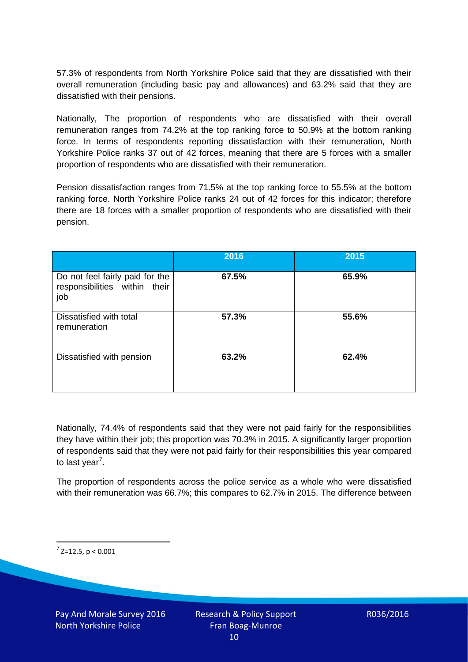57.3% of respondents from North Yorkshire Police said that they are dissatisfied with their overall remuneration (including basic pay and allowances) and 63.2% said that they are dissatisfied with their pensions.

Nationally, The proportion of respondents who are dissatisfied with their overall remuneration ranges from 74.2% at the top ranking force to 50.9% at the bottom ranking force. In terms of respondents reporting dissatisfaction with their remuneration, North Yorkshire Police ranks 37 out of 42 forces, meaning that there are 5 forces with a smaller proportion of respondents who are dissatisfied with their remuneration.

Pension dissatisfaction ranges from 71.5% at the top ranking force to 55.5% at the bottom ranking force. North Yorkshire Police ranks 24 out of 42 forces for this indicator; therefore there are 18 forces with a smaller proportion of respondents who are dissatisfied with their pension.

|                                                                         | 2016  | 2015  |
|-------------------------------------------------------------------------|-------|-------|
| Do not feel fairly paid for the<br>responsibilities within their<br>job | 67.5% | 65.9% |
| Dissatisfied with total<br>remuneration                                 | 57.3% | 55.6% |
| Dissatisfied with pension                                               | 63.2% | 62.4% |

Nationally, 74.4% of respondents said that they were not paid fairly for the responsibilities they have within their job; this proportion was 70.3% in 2015. A significantly larger proportion of respondents said that they were not paid fairly for their responsibilities this year compared to last year<sup>[7](#page-9-0)</sup>.

The proportion of respondents across the police service as a whole who were dissatisfied with their remuneration was 66.7%; this compares to 62.7% in 2015. The difference between

<span id="page-9-0"></span> $7$  Z=12.5, p < 0.001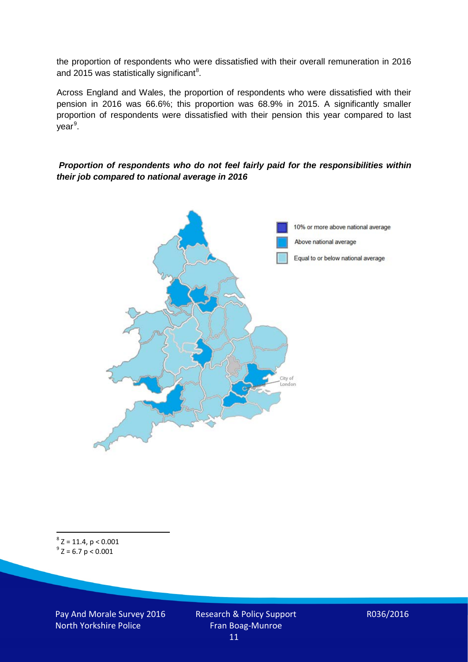the proportion of respondents who were dissatisfied with their overall remuneration in 2016 and 2015 was statistically significant<sup>[8](#page-10-0)</sup>.

Across England and Wales, the proportion of respondents who were dissatisfied with their pension in 2016 was 66.6%; this proportion was 68.9% in 2015. A significantly smaller proportion of respondents were dissatisfied with their pension this year compared to last year<sup>[9](#page-10-1)</sup>.

#### *Proportion of respondents who do not feel fairly paid for the responsibilities within their job compared to national average in 2016*



<span id="page-10-1"></span><span id="page-10-0"></span> $8$  Z = 11.4, p < 0.001  $9^{\circ}$  Z = 6.7 p < 0.001

Pay And Morale Survey 2016 North Yorkshire Police

Research & Policy Support Fran Boag-Munroe 11